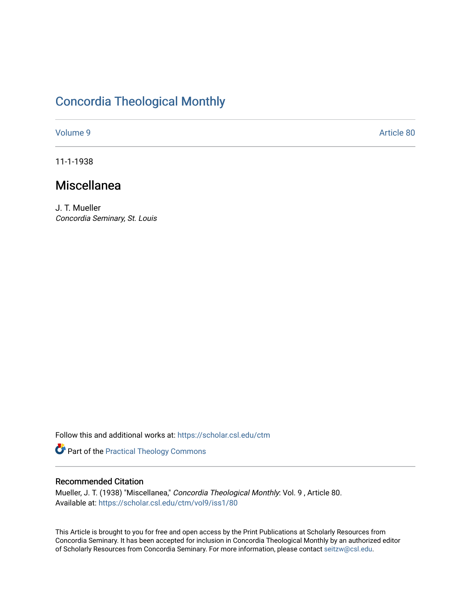# [Concordia Theological Monthly](https://scholar.csl.edu/ctm)

[Volume 9](https://scholar.csl.edu/ctm/vol9) Article 80

11-1-1938

# Miscellanea

J. T. Mueller Concordia Seminary, St. Louis

Follow this and additional works at: [https://scholar.csl.edu/ctm](https://scholar.csl.edu/ctm?utm_source=scholar.csl.edu%2Fctm%2Fvol9%2Fiss1%2F80&utm_medium=PDF&utm_campaign=PDFCoverPages)

Part of the [Practical Theology Commons](http://network.bepress.com/hgg/discipline/1186?utm_source=scholar.csl.edu%2Fctm%2Fvol9%2Fiss1%2F80&utm_medium=PDF&utm_campaign=PDFCoverPages)

# Recommended Citation

Mueller, J. T. (1938) "Miscellanea," Concordia Theological Monthly: Vol. 9 , Article 80. Available at: [https://scholar.csl.edu/ctm/vol9/iss1/80](https://scholar.csl.edu/ctm/vol9/iss1/80?utm_source=scholar.csl.edu%2Fctm%2Fvol9%2Fiss1%2F80&utm_medium=PDF&utm_campaign=PDFCoverPages)

This Article is brought to you for free and open access by the Print Publications at Scholarly Resources from Concordia Seminary. It has been accepted for inclusion in Concordia Theological Monthly by an authorized editor of Scholarly Resources from Concordia Seminary. For more information, please contact [seitzw@csl.edu](mailto:seitzw@csl.edu).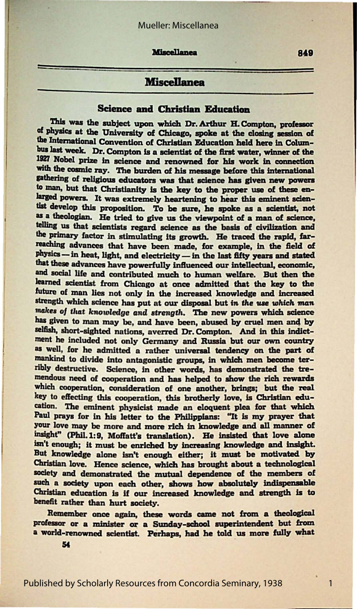### Mueller: Miscellanea

**Miscellanea** 

# **Miscellanea**

## **Science and Christian Education**

This was the subject upon which Dr. Arthur H. Compton, professor of physics at the University of Chicago, spoke at the closing session of the International Convention of Christian Education held here in Columbus last week. Dr. Compton is a scientist of the first water, winner of the 1927 Nobel prize in science and renowned for his work in connection with the cosmic ray. The burden of his message before this international gathering of religious educators was that science has given new powers to man, but that Christianity is the key to the proper use of these enlarged powers. It was extremely heartening to hear this eminent scientist develop this proposition. To be sure, he spoke as a scientist, not as a theologian. He tried to give us the viewpoint of a man of science, telling us that scientists regard science as the basis of civilization and the primary factor in stimulating its growth. He traced the rapid, farreaching advances that have been made, for example, in the field of physics -- in heat, light, and electricity -- in the last fifty years and stated that these advances have powerfully influenced our intellectual, economic, and social life and contributed much to human welfare. But then the learned scientist from Chicago at once admitted that the key to the future of man lies not only in the increased knowledge and increased strength which science has put at our disposal but in the use which man makes of that knowledge and strength. The new powers which science has given to man may be, and have been, abused by cruel men and by selfish, short-sighted nations, averred Dr. Compton. And in this indictment he included not only Germany and Russia but our own country as well, for he admitted a rather universal tendency on the part of mankind to divide into antagonistic groups, in which men become terribly destructive. Science, in other words, has demonstrated the tremendous need of cooperation and has helped to show the rich rewards which cooperation, consideration of one another, brings; but the real key to effecting this cooperation, this brotherly love, is Christian education. The eminent physicist made an eloquent plea for that which Paul prays for in his letter to the Philippians: "It is my prayer that your love may be more and more rich in knowledge and all manner of insight" (Phil. 1:9, Moffatt's translation). He insisted that love alone isn't enough; it must be enriched by increasing knowledge and insight. But knowledge alone isn't enough either; it must be motivated by Christian love. Hence science, which has brought about a technological society and demonstrated the mutual dependence of the members of such a society upon each other, shows how absolutely indispensable Christian education is if our increased knowledge and strength is to benefit rather than hurt society.

Remember once again, these words came not from a theological professor or a minister or a Sunday-school superintendent but from a world-renowned scientist. Perhaps, had he told us more fully what

54

Published by Scholarly Resources from Concordia Seminary, 1938

849

 $\mathbf{1}$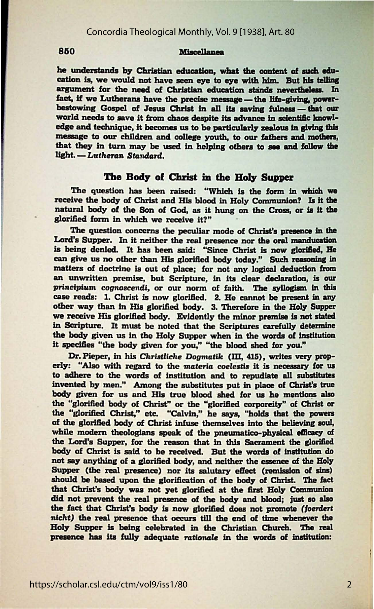#### **Miscellanea**

he understands by Christian education, what the content of such education is, we would not have seen eye to eye with him. But his telling argument for the need of Christian education stands nevertheless. In fact, if we Lutherans have the precise message — the life-giving, powerbestowing Gospel of Jesus Christ in all its saving fulness - that our world needs to save it from chaos despite its advance in scientific knowledge and technique, it becomes us to be particularly zealous in giving this message to our children and college youth, to our fathers and mothers, that they in turn may be used in helping others to see and follow the light. - Lutheran Standard.

#### The Body of Christ in the Holy Supper

The question has been raised: "Which is the form in which we receive the body of Christ and His blood in Holy Communion? Is it the natural body of the Son of God, as it hung on the Cross, or is it the glorified form in which we receive it?"

The question concerns the peculiar mode of Christ's presence in the Lord's Supper. In it neither the real presence nor the oral manducation is being denied. It has been said: "Since Christ is now glorified, He can give us no other than His glorified body today." Such reasoning in matters of doctrine is out of place; for not any logical deduction from an unwritten premise, but Scripture, in its clear declaration, is our principium cognoscendi, or our norm of faith. The syllogism in this case reads: 1. Christ is now glorified. 2. He cannot be present in any other way than in His glorified body. 3. Therefore in the Holy Supper we receive His glorified body. Evidently the minor premise is not stated in Scripture. It must be noted that the Scriptures carefully determine the body given us in the Holy Supper when in the words of institution it specifies "the body given for you," "the blood shed for you."

Dr. Pieper, in his Christliche Dogmatik (III, 415), writes very properly: "Also with regard to the materia coelestis it is necessary for us to adhere to the words of institution and to repudiate all substitutes invented by men." Among the substitutes put in place of Christ's true body given for us and His true blood shed for us he mentions also the "glorified body of Christ" or the "glorified corporeity" of Christ or the "glorified Christ," etc. "Calvin," he says, "holds that the powers of the glorified body of Christ infuse themselves into the believing soul, while modern theologians speak of the pneumatico-physical efficacy of the Lord's Supper, for the reason that in this Sacrament the glorified body of Christ is said to be received. But the words of institution do not say anything of a glorified body, and neither the essence of the Holy Supper (the real presence) nor its salutary effect (remission of sins) should be based upon the glorification of the body of Christ. The fact that Christ's body was not yet glorified at the first Holy Communion did not prevent the real presence of the body and blood; just so also the fact that Christ's body is now glorified does not promote (foerdert nicht) the real presence that occurs till the end of time whenever the Holy Supper is being celebrated in the Christian Church. The real presence has its fully adequate rationale in the words of institution:

#### 850